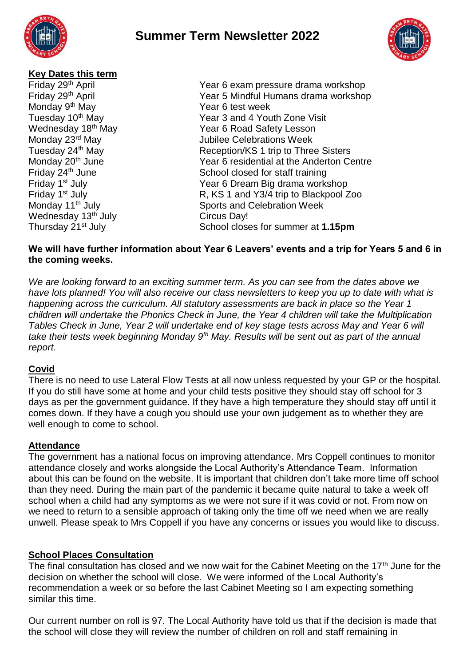



### **Key Dates this term**

Monday 9<sup>th</sup> May Year 6 test week Wednesday 13<sup>th</sup> July Circus Day!<br>
Thursday 21<sup>st</sup> July School close

Friday 29th April Year 6 exam pressure drama workshop Friday 29th April Year 5 Mindful Humans drama workshop Tuesday 10<sup>th</sup> May **Year 3 and 4 Youth Zone Visit**<br>Wednesday 18<sup>th</sup> May Year 6 Road Safety Lesson Wednesday 18<sup>th</sup> May Year 6 Road Safety Lesson<br>Monday 23<sup>rd</sup> May Year 6 Road Safety Lesson **Jubilee Celebrations Week** Tuesday 24<sup>th</sup> May **Reception/KS 1 trip to Three Sisters**<br>Monday 20<sup>th</sup> June **Reception/KS 1** trip to Three Sisters Year 6 residential at the Anderton Centre Friday 24<sup>th</sup> June School closed for staff training Friday 1st July Year 6 Dream Big drama workshop Friday 1<sup>st</sup> July **R, KS 1 and Y3/4 trip to Blackpool Zoo** Monday 11<sup>th</sup> July **Sports** and Celebration Week School closes for summer at **1.15pm** 

### **We will have further information about Year 6 Leavers' events and a trip for Years 5 and 6 in the coming weeks.**

*We are looking forward to an exciting summer term. As you can see from the dates above we have lots planned! You will also receive our class newsletters to keep you up to date with what is happening across the curriculum. All statutory assessments are back in place so the Year 1 children will undertake the Phonics Check in June, the Year 4 children will take the Multiplication Tables Check in June, Year 2 will undertake end of key stage tests across May and Year 6 will take their tests week beginning Monday 9th May. Results will be sent out as part of the annual report.* 

# **Covid**

There is no need to use Lateral Flow Tests at all now unless requested by your GP or the hospital. If you do still have some at home and your child tests positive they should stay off school for 3 days as per the government guidance. If they have a high temperature they should stay off until it comes down. If they have a cough you should use your own judgement as to whether they are well enough to come to school.

# **Attendance**

The government has a national focus on improving attendance. Mrs Coppell continues to monitor attendance closely and works alongside the Local Authority's Attendance Team. Information about this can be found on the website. It is important that children don't take more time off school than they need. During the main part of the pandemic it became quite natural to take a week off school when a child had any symptoms as we were not sure if it was covid or not. From now on we need to return to a sensible approach of taking only the time off we need when we are really unwell. Please speak to Mrs Coppell if you have any concerns or issues you would like to discuss.

# **School Places Consultation**

The final consultation has closed and we now wait for the Cabinet Meeting on the 17<sup>th</sup> June for the decision on whether the school will close. We were informed of the Local Authority's recommendation a week or so before the last Cabinet Meeting so I am expecting something similar this time.

Our current number on roll is 97. The Local Authority have told us that if the decision is made that the school will close they will review the number of children on roll and staff remaining in